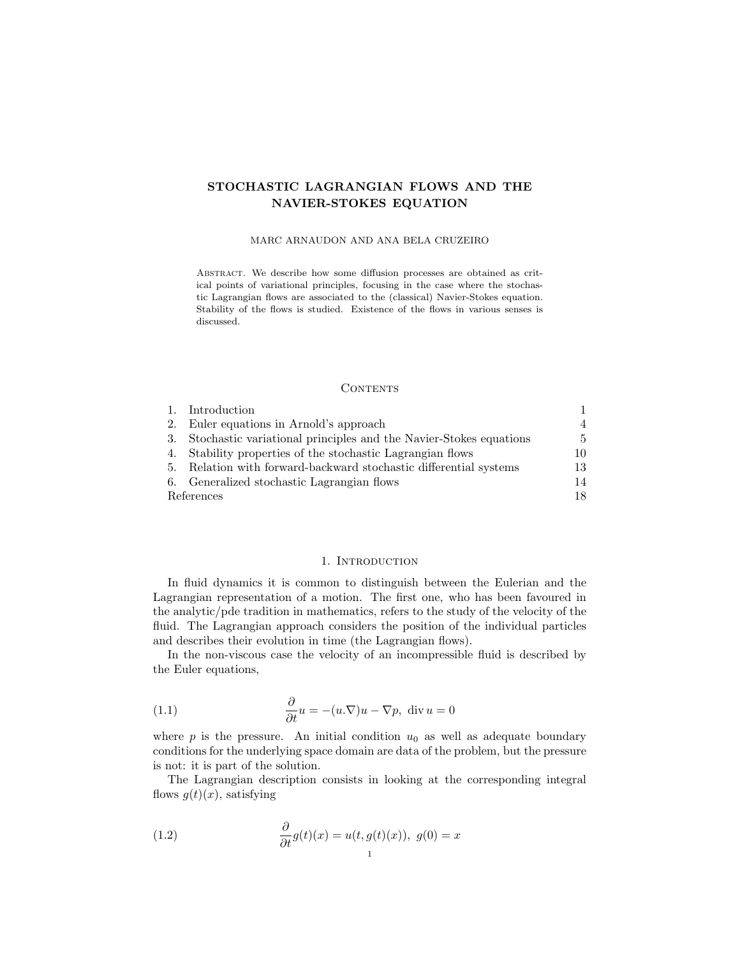# STOCHASTIC LAGRANGIAN FLOWS AND THE NAVIER-STOKES EQUATION

# MARC ARNAUDON AND ANA BELA CRUZEIRO

Abstract. We describe how some diffusion processes are obtained as critical points of variational principles, focusing in the case where the stochastic Lagrangian flows are associated to the (classical) Navier-Stokes equation. Stability of the flows is studied. Existence of the flows in various senses is discussed.

### **CONTENTS**

| 1.         | Introduction                                                         |                |
|------------|----------------------------------------------------------------------|----------------|
|            | 2. Euler equations in Arnold's approach                              | $\overline{4}$ |
|            | 3. Stochastic variational principles and the Navier-Stokes equations | 5              |
|            | 4. Stability properties of the stochastic Lagrangian flows           | 10             |
|            | 5. Relation with forward-backward stochastic differential systems    | 13             |
|            | 6. Generalized stochastic Lagrangian flows                           | 14             |
| References |                                                                      | 18             |

# 1. INTRODUCTION

In fluid dynamics it is common to distinguish between the Eulerian and the Lagrangian representation of a motion. The first one, who has been favoured in the analytic/pde tradition in mathematics, refers to the study of the velocity of the fluid. The Lagrangian approach considers the position of the individual particles and describes their evolution in time (the Lagrangian flows).

In the non-viscous case the velocity of an incompressible fluid is described by the Euler equations,

(1.1) 
$$
\frac{\partial}{\partial t}u = -(u.\nabla)u - \nabla p, \text{ div } u = 0
$$

where  $p$  is the pressure. An initial condition  $u_0$  as well as adequate boundary conditions for the underlying space domain are data of the problem, but the pressure is not: it is part of the solution.

The Lagrangian description consists in looking at the corresponding integral flows  $g(t)(x)$ , satisfying

(1.2) 
$$
\frac{\partial}{\partial t}g(t)(x) = u(t, g(t)(x)), \ g(0) = x
$$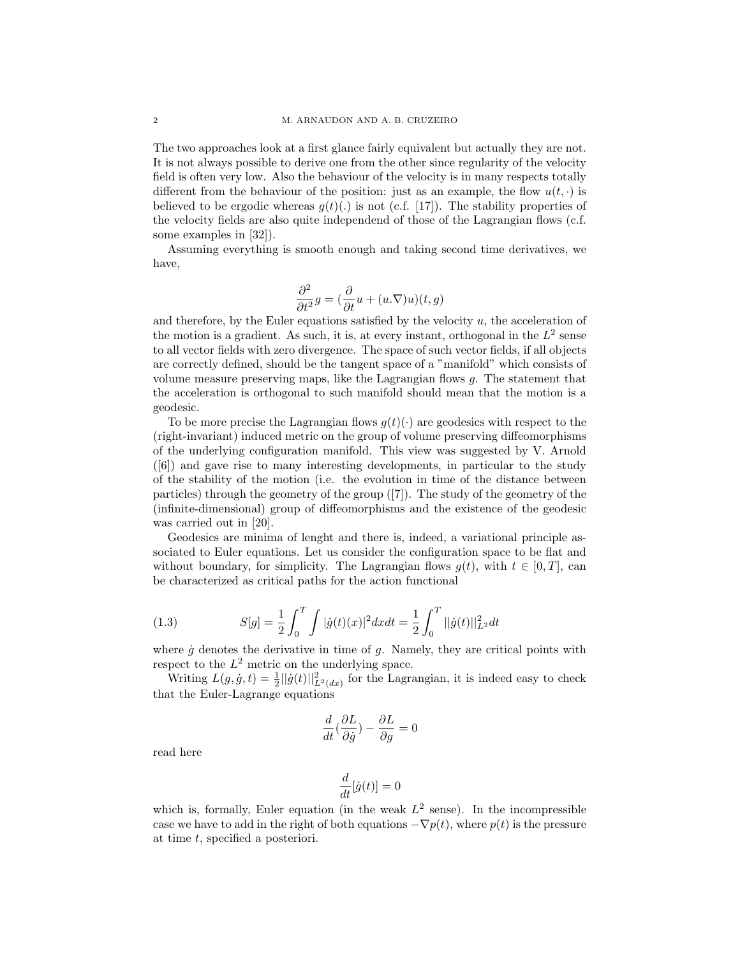The two approaches look at a first glance fairly equivalent but actually they are not. It is not always possible to derive one from the other since regularity of the velocity field is often very low. Also the behaviour of the velocity is in many respects totally different from the behaviour of the position: just as an example, the flow  $u(t, \cdot)$  is believed to be ergodic whereas  $g(t)(.)$  is not (c.f. [17]). The stability properties of the velocity fields are also quite independend of those of the Lagrangian flows (c.f. some examples in [32]).

Assuming everything is smooth enough and taking second time derivatives, we have,

$$
\frac{\partial^2}{\partial t^2}g = \left(\frac{\partial}{\partial t}u + (u.\nabla)u\right)(t,g)
$$

and therefore, by the Euler equations satisfied by the velocity  $u$ , the acceleration of the motion is a gradient. As such, it is, at every instant, orthogonal in the  $L^2$  sense to all vector fields with zero divergence. The space of such vector fields, if all objects are correctly defined, should be the tangent space of a "manifold" which consists of volume measure preserving maps, like the Lagrangian flows g. The statement that the acceleration is orthogonal to such manifold should mean that the motion is a geodesic.

To be more precise the Lagrangian flows  $g(t)(\cdot)$  are geodesics with respect to the (right-invariant) induced metric on the group of volume preserving diffeomorphisms of the underlying configuration manifold. This view was suggested by V. Arnold ([6]) and gave rise to many interesting developments, in particular to the study of the stability of the motion (i.e. the evolution in time of the distance between particles) through the geometry of the group ([7]). The study of the geometry of the (infinite-dimensional) group of diffeomorphisms and the existence of the geodesic was carried out in [20].

Geodesics are minima of lenght and there is, indeed, a variational principle associated to Euler equations. Let us consider the configuration space to be flat and without boundary, for simplicity. The Lagrangian flows  $q(t)$ , with  $t \in [0, T]$ , can be characterized as critical paths for the action functional

(1.3) 
$$
S[g] = \frac{1}{2} \int_0^T \int |\dot{g}(t)(x)|^2 dx dt = \frac{1}{2} \int_0^T ||\dot{g}(t)||_{L^2}^2 dt
$$

where  $\dot{g}$  denotes the derivative in time of  $g$ . Namely, they are critical points with respect to the  $L^2$  metric on the underlying space.

Writing  $L(g, \dot{g}, t) = \frac{1}{2} ||\dot{g}(t)||^2_{L^2(dx)}$  for the Lagrangian, it is indeed easy to check that the Euler-Lagrange equations

$$
\frac{d}{dt}(\frac{\partial L}{\partial \dot{g}}) - \frac{\partial L}{\partial g} = 0
$$

read here

$$
\frac{d}{dt}[\dot{g}(t)] = 0
$$

which is, formally, Euler equation (in the weak  $L^2$  sense). In the incompressible case we have to add in the right of both equations  $-\nabla p(t)$ , where  $p(t)$  is the pressure at time t, specified a posteriori.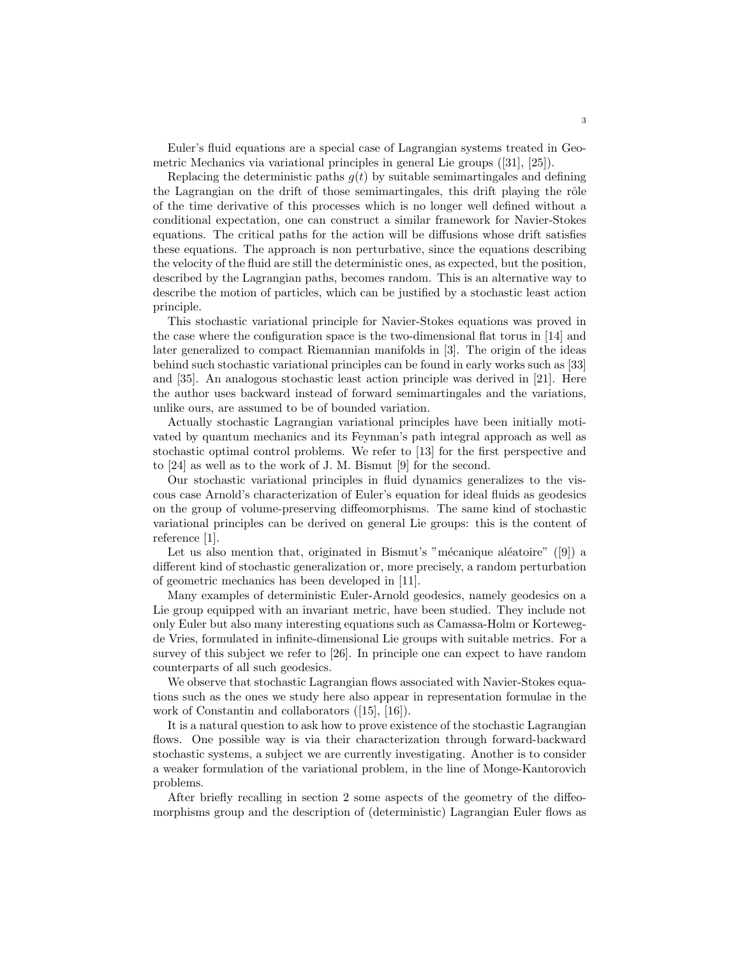Euler's fluid equations are a special case of Lagrangian systems treated in Geometric Mechanics via variational principles in general Lie groups ([31], [25]).

Replacing the deterministic paths  $g(t)$  by suitable semimartingales and defining the Lagrangian on the drift of those semimartingales, this drift playing the rôle of the time derivative of this processes which is no longer well defined without a conditional expectation, one can construct a similar framework for Navier-Stokes equations. The critical paths for the action will be diffusions whose drift satisfies these equations. The approach is non perturbative, since the equations describing the velocity of the fluid are still the deterministic ones, as expected, but the position, described by the Lagrangian paths, becomes random. This is an alternative way to describe the motion of particles, which can be justified by a stochastic least action principle.

This stochastic variational principle for Navier-Stokes equations was proved in the case where the configuration space is the two-dimensional flat torus in [14] and later generalized to compact Riemannian manifolds in [3]. The origin of the ideas behind such stochastic variational principles can be found in early works such as [33] and [35]. An analogous stochastic least action principle was derived in [21]. Here the author uses backward instead of forward semimartingales and the variations, unlike ours, are assumed to be of bounded variation.

Actually stochastic Lagrangian variational principles have been initially motivated by quantum mechanics and its Feynman's path integral approach as well as stochastic optimal control problems. We refer to [13] for the first perspective and to [24] as well as to the work of J. M. Bismut [9] for the second.

Our stochastic variational principles in fluid dynamics generalizes to the viscous case Arnold's characterization of Euler's equation for ideal fluids as geodesics on the group of volume-preserving diffeomorphisms. The same kind of stochastic variational principles can be derived on general Lie groups: this is the content of reference [1].

Let us also mention that, originated in Bismut's "mécanique aléatoire" ([9]) a different kind of stochastic generalization or, more precisely, a random perturbation of geometric mechanics has been developed in [11].

Many examples of deterministic Euler-Arnold geodesics, namely geodesics on a Lie group equipped with an invariant metric, have been studied. They include not only Euler but also many interesting equations such as Camassa-Holm or Kortewegde Vries, formulated in infinite-dimensional Lie groups with suitable metrics. For a survey of this subject we refer to [26]. In principle one can expect to have random counterparts of all such geodesics.

We observe that stochastic Lagrangian flows associated with Navier-Stokes equations such as the ones we study here also appear in representation formulae in the work of Constantin and collaborators ([15], [16]).

It is a natural question to ask how to prove existence of the stochastic Lagrangian flows. One possible way is via their characterization through forward-backward stochastic systems, a subject we are currently investigating. Another is to consider a weaker formulation of the variational problem, in the line of Monge-Kantorovich problems.

After briefly recalling in section 2 some aspects of the geometry of the diffeomorphisms group and the description of (deterministic) Lagrangian Euler flows as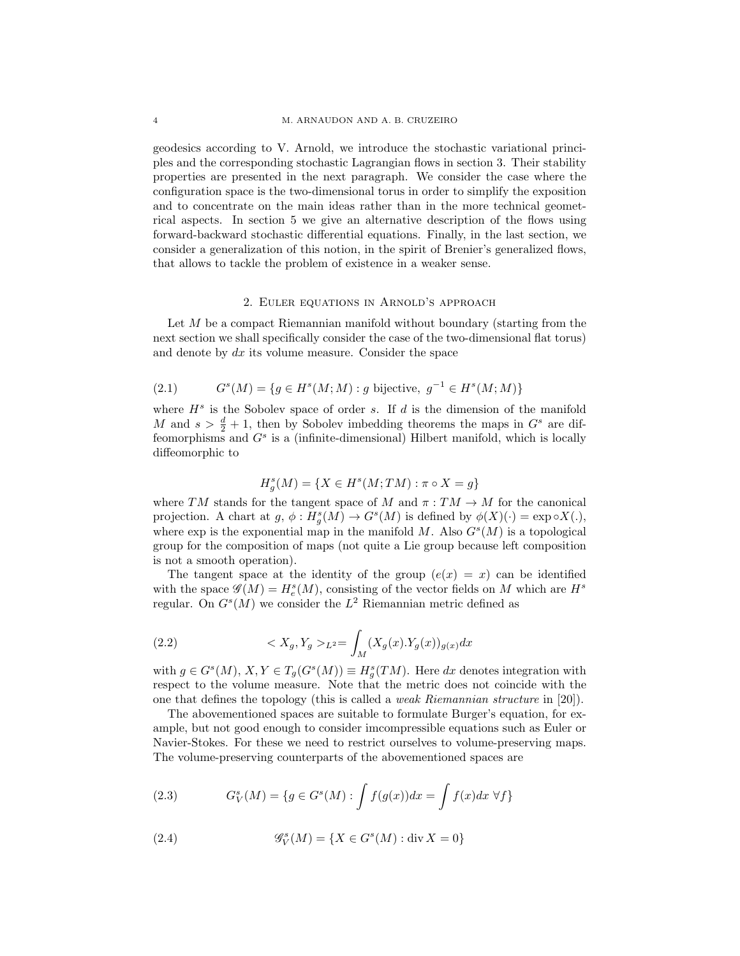geodesics according to V. Arnold, we introduce the stochastic variational principles and the corresponding stochastic Lagrangian flows in section 3. Their stability properties are presented in the next paragraph. We consider the case where the configuration space is the two-dimensional torus in order to simplify the exposition and to concentrate on the main ideas rather than in the more technical geometrical aspects. In section 5 we give an alternative description of the flows using forward-backward stochastic differential equations. Finally, in the last section, we consider a generalization of this notion, in the spirit of Brenier's generalized flows, that allows to tackle the problem of existence in a weaker sense.

#### 2. Euler equations in Arnold's approach

Let  $M$  be a compact Riemannian manifold without boundary (starting from the next section we shall specifically consider the case of the two-dimensional flat torus) and denote by  $dx$  its volume measure. Consider the space

(2.1) 
$$
G^{s}(M) = \{ g \in H^{s}(M; M) : g \text{ bijective}, g^{-1} \in H^{s}(M; M) \}
$$

where  $H<sup>s</sup>$  is the Sobolev space of order s. If d is the dimension of the manifold M and  $s > \frac{d}{2} + 1$ , then by Sobolev imbedding theorems the maps in  $G<sup>s</sup>$  are diffeomorphisms and  $G<sup>s</sup>$  is a (infinite-dimensional) Hilbert manifold, which is locally diffeomorphic to

$$
H_g^s(M) = \{ X \in H^s(M; TM) : \pi \circ X = g \}
$$

where TM stands for the tangent space of M and  $\pi : TM \to M$  for the canonical projection. A chart at  $g, \phi: H_g^s(M) \to G^s(M)$  is defined by  $\phi(X)(\cdot) = \exp \circ X(\cdot)$ , where exp is the exponential map in the manifold M. Also  $G<sup>s</sup>(M)$  is a topological group for the composition of maps (not quite a Lie group because left composition is not a smooth operation).

The tangent space at the identity of the group  $(e(x) = x)$  can be identified with the space  $\mathscr{G}(M) = H_e^s(M)$ , consisting of the vector fields on M which are  $H^s$ regular. On  $G<sup>s</sup>(M)$  we consider the  $L<sup>2</sup>$  Riemannian metric defined as

(2.2) 
$$
\langle X_g, Y_g \rangle_{L^2} = \int_M (X_g(x).Y_g(x))_{g(x)} dx
$$

with  $g \in G^{s}(M), X, Y \in T_g(G^{s}(M)) \equiv H_g^{s}(TM)$ . Here dx denotes integration with respect to the volume measure. Note that the metric does not coincide with the one that defines the topology (this is called a weak Riemannian structure in [20]).

The abovementioned spaces are suitable to formulate Burger's equation, for example, but not good enough to consider imcompressible equations such as Euler or Navier-Stokes. For these we need to restrict ourselves to volume-preserving maps. The volume-preserving counterparts of the abovementioned spaces are

(2.3) 
$$
G_V^s(M) = \{ g \in G^s(M) : \int f(g(x))dx = \int f(x)dx \,\forall f \}
$$

(2.4) 
$$
\mathcal{G}_V^s(M) = \{ X \in G^s(M) : \text{div } X = 0 \}
$$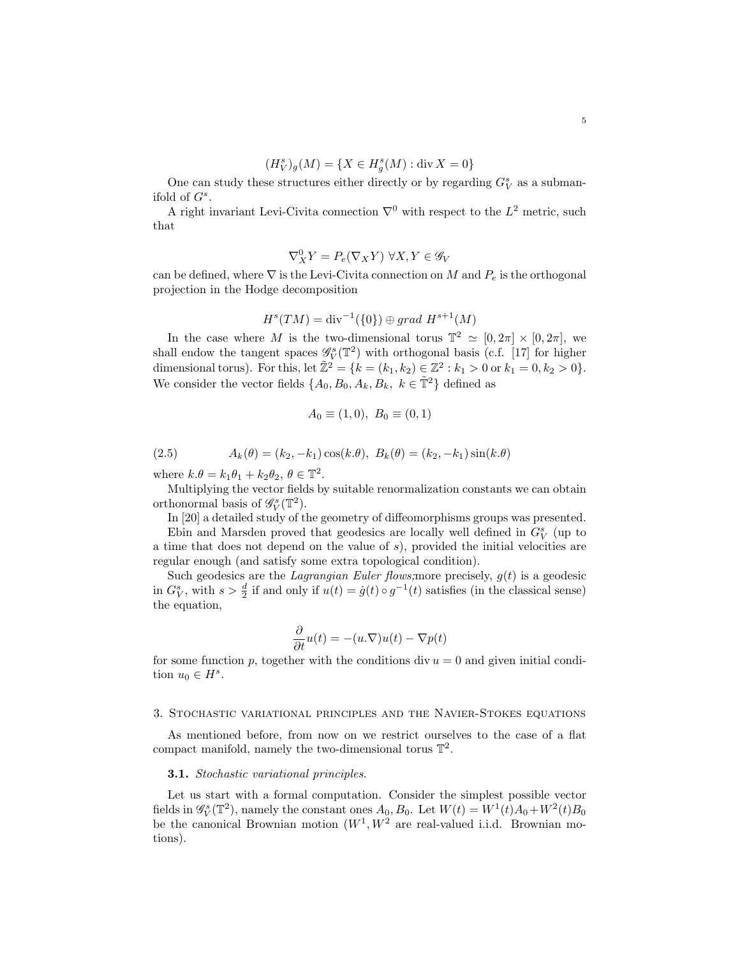$$
(H_V^s)_{g}(M) = \{ X \in H_g^s(M) : \text{div}\, X = 0 \}
$$

One can study these structures either directly or by regarding  $G_V^s$  as a submanifold of  $G^s$ .

A right invariant Levi-Civita connection  $\nabla^0$  with respect to the  $L^2$  metric, such that

$$
\nabla^0_X Y = P_e(\nabla_X Y) \ \forall X, Y \in \mathscr{G}_V
$$

can be defined, where  $\nabla$  is the Levi-Civita connection on M and  $P_e$  is the orthogonal projection in the Hodge decomposition

$$
Hs(TM) = \text{div}^{-1}(\{0\}) \oplus grad Hs+1(M)
$$

In the case where M is the two-dimensional torus  $\mathbb{T}^2 \simeq [0, 2\pi] \times [0, 2\pi]$ , we shall endow the tangent spaces  $\mathscr{G}_{V}^{s}(\mathbb{T}^{2})$  with orthogonal basis (c.f. [17] for higher dimensional torus). For this, let  $\tilde{\mathbb{Z}}^2 = \{k = (k_1, k_2) \in \mathbb{Z}^2 : k_1 > 0 \text{ or } k_1 = 0, k_2 > 0\}.$ We consider the vector fields  $\{A_0, B_0, A_k, B_k, k \in \tilde{T}^2\}$  defined as

$$
A_0 \equiv (1,0), \ B_0 \equiv (0,1)
$$

(2.5) 
$$
A_k(\theta) = (k_2, -k_1)\cos(k.\theta), B_k(\theta) = (k_2, -k_1)\sin(k.\theta)
$$

where  $k.\theta = k_1 \theta_1 + k_2 \theta_2, \theta \in \mathbb{T}^2$ .

Multiplying the vector fields by suitable renormalization constants we can obtain orthonormal basis of  $\mathscr{G}_{V}^{s}(\mathbb{T}^{2})$ .

In [20] a detailed study of the geometry of diffeomorphisms groups was presented.

Ebin and Marsden proved that geodesics are locally well defined in  $G_V^s$  (up to a time that does not depend on the value of s), provided the initial velocities are regular enough (and satisfy some extra topological condition).

Such geodesics are the *Lagrangian Euler flows*; more precisely,  $g(t)$  is a geodesic in  $G_V^s$ , with  $s > \frac{d}{2}$  if and only if  $u(t) = \dot{g}(t) \circ g^{-1}(t)$  satisfies (in the classical sense) the equation,

$$
\frac{\partial}{\partial t}u(t)=-(u.\nabla)u(t)-\nabla p(t)
$$

for some function p, together with the conditions div  $u = 0$  and given initial condition  $u_0 \in H^s$ .

#### 3. Stochastic variational principles and the Navier-Stokes equations

As mentioned before, from now on we restrict ourselves to the case of a flat compact manifold, namely the two-dimensional torus  $\mathbb{T}^2$ .

#### **3.1.** Stochastic variational principles.

Let us start with a formal computation. Consider the simplest possible vector fields in  $\mathscr{G}_{V}^{s}(\mathbb{T}^{2})$ , namely the constant ones  $A_{0}$ ,  $B_{0}$ . Let  $W(t) = W^{1}(t)A_{0} + W^{2}(t)B_{0}$ be the canonical Brownian motion  $(W^1, W^2$  are real-valued i.i.d. Brownian motions).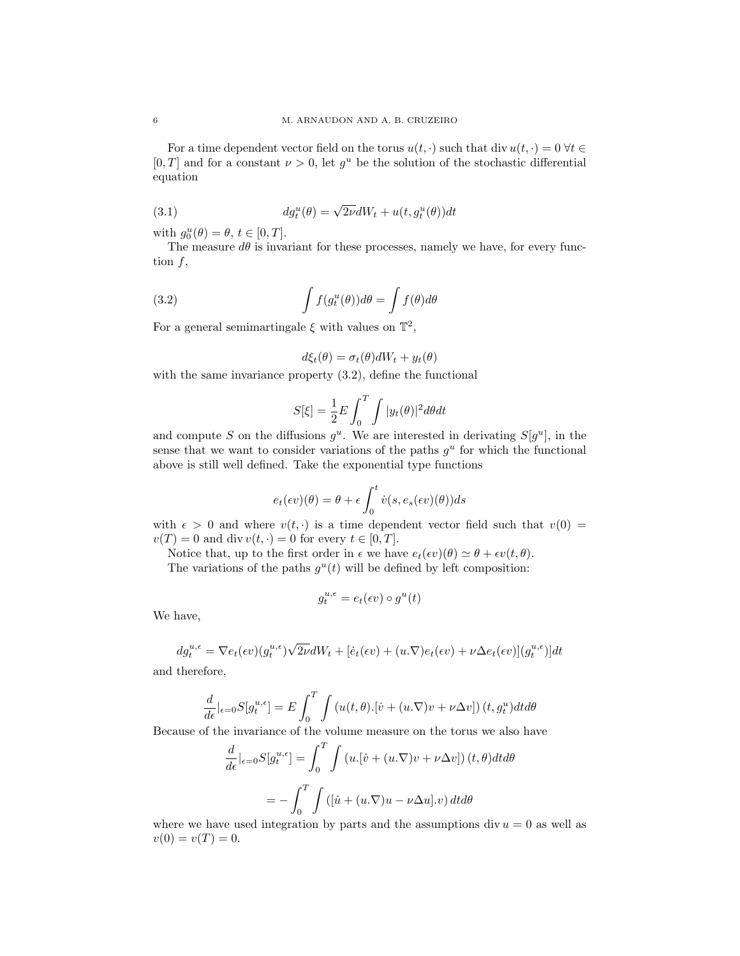For a time dependent vector field on the torus  $u(t, \cdot)$  such that div  $u(t, \cdot) = 0 \forall t \in$  $[0, T]$  and for a constant  $\nu > 0$ , let  $g^u$  be the solution of the stochastic differential equation

(3.1) 
$$
dg_t^u(\theta) = \sqrt{2\nu}dW_t + u(t, g_t^u(\theta))dt
$$

with  $g_0^u(\theta) = \theta, t \in [0, T].$ 

The measure  $d\theta$  is invariant for these processes, namely we have, for every function  $f$ ,

(3.2) 
$$
\int f(g_t^u(\theta))d\theta = \int f(\theta)d\theta
$$

For a general semimartingale  $\xi$  with values on  $\mathbb{T}^2$ ,

$$
d\xi_t(\theta) = \sigma_t(\theta)dW_t + y_t(\theta)
$$

with the same invariance property  $(3.2)$ , define the functional

$$
S[\xi] = \frac{1}{2}E \int_0^T \int |y_t(\theta)|^2 d\theta dt
$$

and compute S on the diffusions  $g^u$ . We are interested in derivating  $S[g^u]$ , in the sense that we want to consider variations of the paths  $g^u$  for which the functional above is still well defined. Take the exponential type functions

$$
e_t(\epsilon v)(\theta) = \theta + \epsilon \int_0^t \dot{v}(s, e_s(\epsilon v)(\theta))ds
$$

with  $\epsilon > 0$  and where  $v(t, \cdot)$  is a time dependent vector field such that  $v(0) =$  $v(T) = 0$  and div  $v(t, \cdot) = 0$  for every  $t \in [0, T]$ .

Notice that, up to the first order in  $\epsilon$  we have  $e_t(\epsilon v)(\theta) \simeq \theta + \epsilon v(t, \theta)$ .

The variations of the paths  $g^u(t)$  will be defined by left composition:

$$
g_t^{u,\epsilon} = e_t(\epsilon v) \circ g^u(t)
$$

We have,

$$
dg_t^{u,\epsilon} = \nabla e_t(\epsilon v)(g_t^{u,\epsilon})\sqrt{2\nu}dW_t + [\dot{e}_t(\epsilon v) + (u.\nabla)e_t(\epsilon v) + \nu \Delta e_t(\epsilon v)](g_t^{u,\epsilon})]dt
$$

and therefore,

$$
\frac{d}{d\epsilon}|_{\epsilon=0}S[g_t^{u,\epsilon}] = E\int_0^T \int \left(u(t,\theta)\cdot[\dot{v} + (u.\nabla)v + \nu \Delta v]\right)(t,g_t^u)dt d\theta
$$

Because of the invariance of the volume measure on the torus we also have

$$
\frac{d}{d\epsilon}|_{\epsilon=0}S[g_t^{u,\epsilon}] = \int_0^T \int \left(u.[\dot{v} + (u.\nabla)v + \nu \Delta v]\right)(t,\theta)dt d\theta
$$

$$
= -\int_0^T \int \left([ \dot{u} + (u.\nabla)u - \nu \Delta u].v \right) dt d\theta
$$

where we have used integration by parts and the assumptions div  $u = 0$  as well as  $v(0) = v(T) = 0.$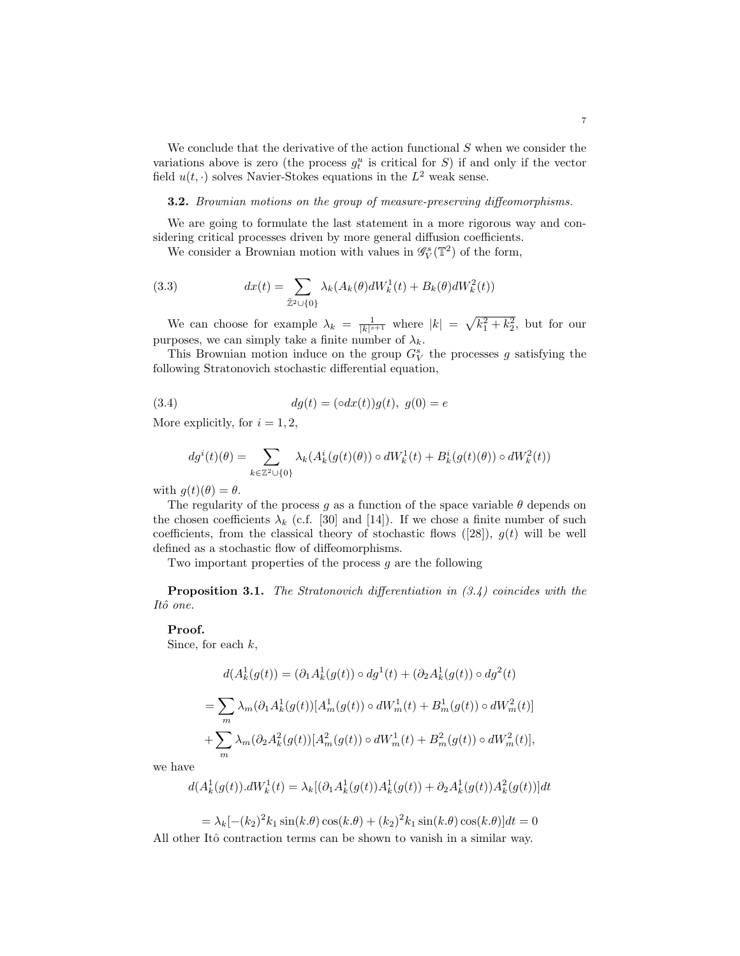We conclude that the derivative of the action functional  $S$  when we consider the variations above is zero (the process  $g_t^u$  is critical for S) if and only if the vector field  $u(t, \cdot)$  solves Navier-Stokes equations in the  $L^2$  weak sense.

**3.2.** Brownian motions on the group of measure-preserving diffeomorphisms.

We are going to formulate the last statement in a more rigorous way and considering critical processes driven by more general diffusion coefficients.

We consider a Brownian motion with values in  $\mathcal{G}_{V}^{s}(\mathbb{T}^{2})$  of the form,

(3.3) 
$$
dx(t) = \sum_{\tilde{Z}^2 \cup \{0\}} \lambda_k(A_k(\theta) dW_k^1(t) + B_k(\theta) dW_k^2(t))
$$

We can choose for example  $\lambda_k = \frac{1}{|k|^{s+1}}$  where  $|k| = \sqrt{k_1^2 + k_2^2}$ , but for our purposes, we can simply take a finite number of  $\lambda_k.$ 

This Brownian motion induce on the group  $G_V^s$  the processes g satisfying the following Stratonovich stochastic differential equation,

(3.4) 
$$
dg(t) = (\circ dx(t))g(t), \ g(0) = e
$$

More explicitly, for  $i = 1, 2$ ,

$$
dg^{i}(t)(\theta)=\sum_{k\in\mathbb{Z}^{2}\cup\{0\}}\lambda_{k}(A^{i}_{k}(g(t)(\theta))\circ dW^{1}_{k}(t)+B^{i}_{k}(g(t)(\theta))\circ dW^{2}_{k}(t))
$$

with  $g(t)(\theta) = \theta$ .

The regularity of the process g as a function of the space variable  $\theta$  depends on the chosen coefficients  $\lambda_k$  (c.f. [30] and [14]). If we chose a finite number of such coefficients, from the classical theory of stochastic flows  $([28])$ ,  $g(t)$  will be well defined as a stochastic flow of diffeomorphisms.

Two important properties of the process  $g$  are the following

**Proposition 3.1.** The Stratonovich differentiation in  $(3.4)$  coincides with the Itô one.

## Proof.

Since, for each  $k$ ,

$$
d(A_k^1(g(t)) = (\partial_1 A_k^1(g(t)) \circ dg^1(t) + (\partial_2 A_k^1(g(t)) \circ dg^2(t))
$$
  
= 
$$
\sum_m \lambda_m(\partial_1 A_k^1(g(t)) [A_m^1(g(t)) \circ dW_m^1(t) + B_m^1(g(t)) \circ dW_m^2(t)]
$$
  
+ 
$$
\sum_m \lambda_m(\partial_2 A_k^2(g(t)) [A_m^2(g(t)) \circ dW_m^1(t) + B_m^2(g(t)) \circ dW_m^2(t)],
$$

we have

$$
d(A_k^1(g(t)).dW_k^1(t) = \lambda_k[(\partial_1 A_k^1(g(t))A_k^1(g(t)) + \partial_2 A_k^1(g(t))A_k^2(g(t))]dt
$$

 $= \lambda_k [-(k_2)^2 k_1 \sin(k.\theta) \cos(k.\theta) + (k_2)^2 k_1 \sin(k.\theta) \cos(k.\theta)] dt = 0$ All other Itô contraction terms can be shown to vanish in a similar way.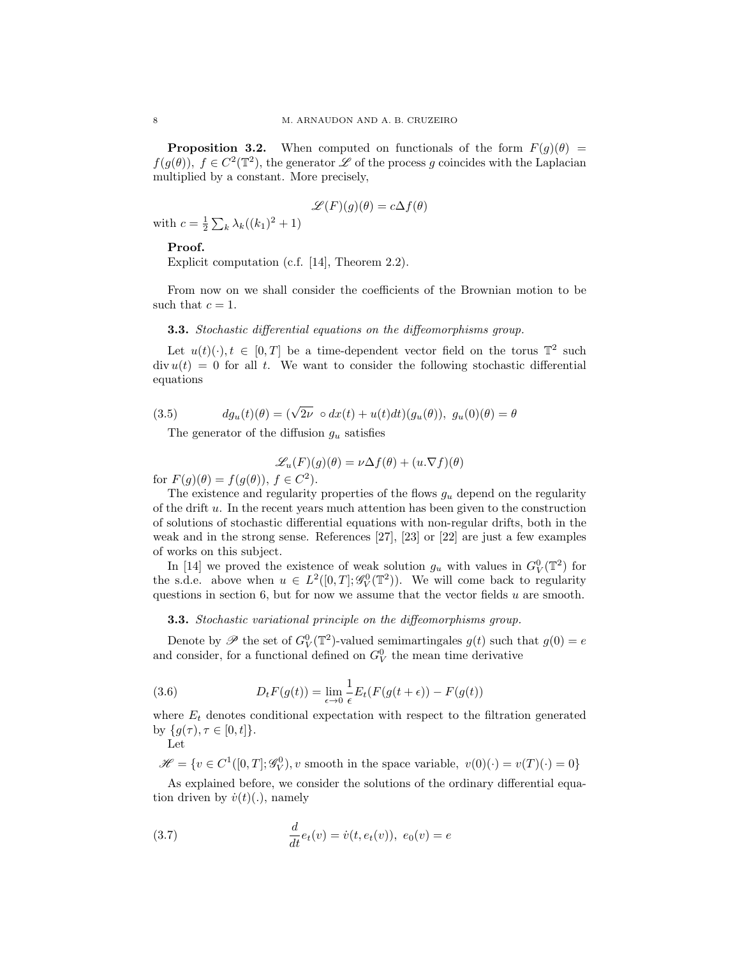**Proposition 3.2.** When computed on functionals of the form  $F(g)(\theta) =$  $f(g(\theta)), f \in C^2(\mathbb{T}^2)$ , the generator  $\mathscr L$  of the process g coincides with the Laplacian multiplied by a constant. More precisely,

$$
\mathscr{L}(F)(g)(\theta)=c\Delta f(\theta)
$$

with  $c = \frac{1}{2} \sum_{k} \lambda_k ((k_1)^2 + 1)$ 

### Proof.

Explicit computation (c.f. [14], Theorem 2.2).

From now on we shall consider the coefficients of the Brownian motion to be such that  $c = 1$ .

# **3.3.** Stochastic differential equations on the diffeomorphisms group.

Let  $u(t)(\cdot), t \in [0,T]$  be a time-dependent vector field on the torus  $\mathbb{T}^2$  such  $\text{div } u(t) = 0$  for all t. We want to consider the following stochastic differential equations

(3.5) 
$$
dg_u(t)(\theta) = (\sqrt{2\nu} \circ dx(t) + u(t)dt)(g_u(\theta)), g_u(0)(\theta) = \theta
$$

The generator of the diffusion  $g_u$  satisfies

$$
\mathcal{L}_u(F)(g)(\theta) = \nu \Delta f(\theta) + (u.\nabla f)(\theta)
$$

for  $F(g)(\theta) = f(g(\theta)), f \in C^2$ .

The existence and regularity properties of the flows  $g_u$  depend on the regularity of the drift  $u$ . In the recent years much attention has been given to the construction of solutions of stochastic differential equations with non-regular drifts, both in the weak and in the strong sense. References [27], [23] or [22] are just a few examples of works on this subject.

In [14] we proved the existence of weak solution  $g_u$  with values in  $G_V^0(\mathbb{T}^2)$  for the s.d.e. above when  $u \in L^2([0,T]; \mathscr{G}_V^0(\mathbb{T}^2))$ . We will come back to regularity questions in section 6, but for now we assume that the vector fields  $u$  are smooth.

#### **3.3.** Stochastic variational principle on the diffeomorphisms group.

Denote by  $\mathscr P$  the set of  $G_V^0(\mathbb{T}^2)$ -valued semimartingales  $g(t)$  such that  $g(0) = e$ and consider, for a functional defined on  $G_V^0$  the mean time derivative

(3.6) 
$$
D_t F(g(t)) = \lim_{\epsilon \to 0} \frac{1}{\epsilon} E_t(F(g(t + \epsilon)) - F(g(t))
$$

where  $E_t$  denotes conditional expectation with respect to the filtration generated by  $\{g(\tau), \tau \in [0, t]\}.$ 

Let

 $\mathscr{H} = \{v \in C^1([0,T]; \mathscr{G}_V^0), v \text{ smooth in the space variable}, v(0)(\cdot) = v(T)(\cdot) = 0\}$ 

As explained before, we consider the solutions of the ordinary differential equation driven by  $\dot{v}(t)(.)$ , namely

(3.7) 
$$
\frac{d}{dt}e_t(v) = \dot{v}(t, e_t(v)), \ e_0(v) = e
$$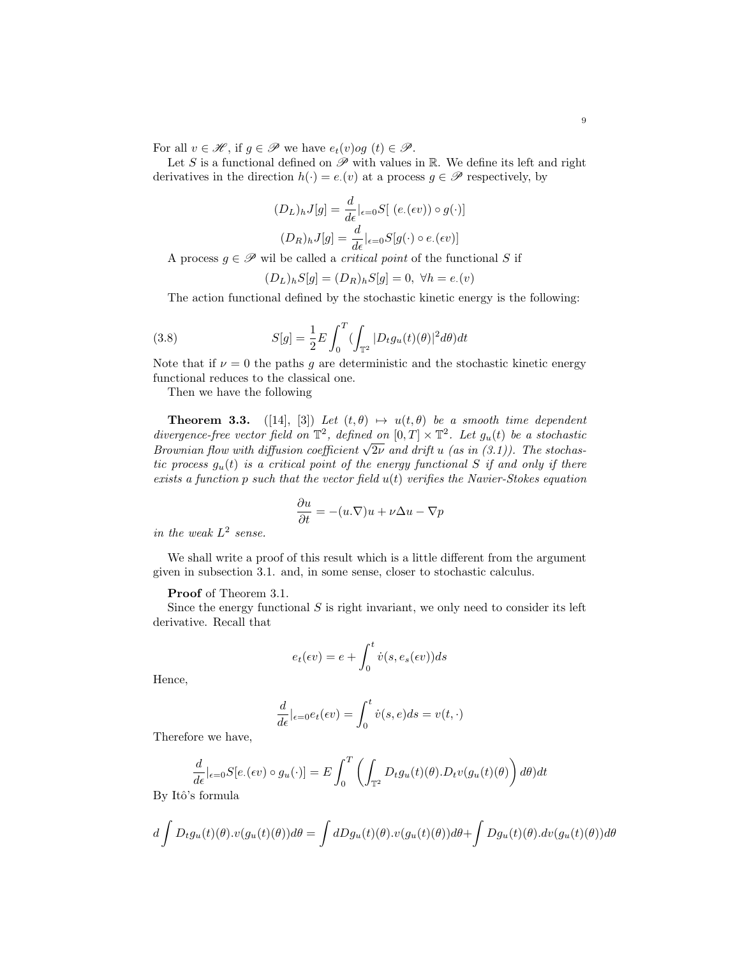For all  $v \in \mathcal{H}$ , if  $g \in \mathcal{P}$  we have  $e_t(v)$ og  $(t) \in \mathcal{P}$ .

Let S is a functional defined on  $\mathscr P$  with values in R. We define its left and right derivatives in the direction  $h(\cdot) = e(v)$  at a process  $g \in \mathscr{P}$  respectively, by

$$
(D_L)_h J[g] = \frac{d}{d\epsilon}|_{\epsilon=0} S[ (e.(\epsilon v)) \circ g(\cdot)]
$$

$$
(D_R)_h J[g] = \frac{d}{d\epsilon}|_{\epsilon=0} S[g(\cdot) \circ e.(\epsilon v)]
$$

A process  $g \in \mathscr{P}$  wil be called a *critical point* of the functional S if

$$
(D_L)_h S[g] = (D_R)_h S[g] = 0, \ \forall h = e.(v)
$$

The action functional defined by the stochastic kinetic energy is the following:

(3.8) 
$$
S[g] = \frac{1}{2}E \int_0^T \left(\int_{\mathbb{T}^2} |D_t g_u(t)(\theta)|^2 d\theta\right) dt
$$

Note that if  $\nu = 0$  the paths g are deterministic and the stochastic kinetic energy functional reduces to the classical one.

Then we have the following

**Theorem 3.3.** ([14], [3]) Let  $(t, \theta) \mapsto u(t, \theta)$  be a smooth time dependent divergence-free vector field on  $\mathbb{T}^2$ , defined on  $[0,T] \times \mathbb{T}^2$ . Let  $g_u(t)$  be a stochastic awergence-free vector field on  $\mathbb{L}^2$ , defined on  $[0,1] \times \mathbb{L}^2$ . Let  $g_u(t)$  be a stochasive<br>Brownian flow with diffusion coefficient  $\sqrt{2\nu}$  and drift u (as in (3.1)). The stochastic process  $g_u(t)$  is a critical point of the energy functional S if and only if there exists a function  $p$  such that the vector field  $u(t)$  verifies the Navier-Stokes equation

$$
\frac{\partial u}{\partial t} = -(u.\nabla)u + \nu \Delta u - \nabla p
$$

in the weak  $L^2$  sense.

We shall write a proof of this result which is a little different from the argument given in subsection 3.1. and, in some sense, closer to stochastic calculus.

### Proof of Theorem 3.1.

Since the energy functional  $S$  is right invariant, we only need to consider its left derivative. Recall that

$$
e_t(\epsilon v) = e + \int_0^t \dot{v}(s, e_s(\epsilon v))ds
$$

Hence,

$$
\frac{d}{d\epsilon}|_{\epsilon=0}e_t(\epsilon v) = \int_0^t \dot{v}(s,e)ds = v(t,\cdot)
$$

Therefore we have,

$$
\frac{d}{d\epsilon}|_{\epsilon=0}S[e_{\cdot}(\epsilon v) \circ g_u(\cdot)] = E \int_0^T \left( \int_{\mathbb{T}^2} D_t g_u(t)(\theta) \cdot D_t v(g_u(t)(\theta) \right) d\theta) dt
$$
  
s formula

By Itô's

$$
d\int D_t g_u(t)(\theta) \cdot v(g_u(t)(\theta))d\theta = \int dDg_u(t)(\theta) \cdot v(g_u(t)(\theta))d\theta + \int Dg_u(t)(\theta) \cdot dv(g_u(t)(\theta))d\theta
$$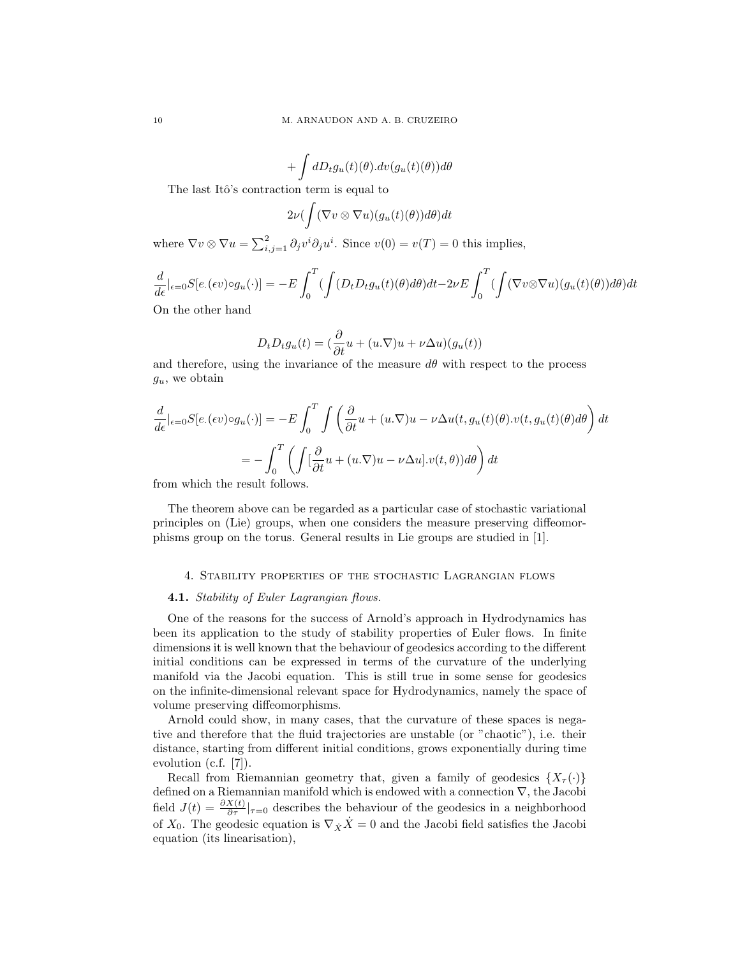$$
+ \int dD_t g_u(t)(\theta) . dv(g_u(t)(\theta)) d\theta
$$

The last Itô's contraction term is equal to

$$
2\nu(\int (\nabla v \otimes \nabla u)(g_u(t)(\theta))d\theta)dt
$$

where  $\nabla v \otimes \nabla u = \sum_{i,j=1}^2 \partial_j v^i \partial_j u^i$ . Since  $v(0) = v(T) = 0$  this implies,

$$
\frac{d}{d\epsilon}|_{\epsilon=0}S[e_{\cdot}(\epsilon v)\circ g_u(\cdot)]= -E\int_0^T(\int(D_tD_tg_u(t)(\theta)d\theta)dt - 2\nu E\int_0^T(\int(\nabla v\otimes\nabla u)(g_u(t)(\theta))d\theta)dt
$$
  
On the other hand

On the other hand

$$
D_t D_t g_u(t) = \left(\frac{\partial}{\partial t} u + (u \cdot \nabla) u + \nu \Delta u\right) (g_u(t))
$$

and therefore, using the invariance of the measure  $d\theta$  with respect to the process  $g_u$ , we obtain

$$
\frac{d}{d\epsilon}|_{\epsilon=0}S[e.(\epsilon v)\circ g_u(\cdot)] = -E\int_0^T \int \left(\frac{\partial}{\partial t}u + (u.\nabla)u - \nu \Delta u(t, g_u(t)(\theta).v(t, g_u(t)(\theta))d\theta\right)dt
$$

$$
= -\int_0^T \left(\int [\frac{\partial}{\partial t}u + (u.\nabla)u - \nu \Delta u].v(t, \theta))d\theta\right)dt
$$

from which the result follows.

The theorem above can be regarded as a particular case of stochastic variational principles on (Lie) groups, when one considers the measure preserving diffeomorphisms group on the torus. General results in Lie groups are studied in [1].

### 4. Stability properties of the stochastic Lagrangian flows

## 4.1. Stability of Euler Lagrangian flows.

One of the reasons for the success of Arnold's approach in Hydrodynamics has been its application to the study of stability properties of Euler flows. In finite dimensions it is well known that the behaviour of geodesics according to the different initial conditions can be expressed in terms of the curvature of the underlying manifold via the Jacobi equation. This is still true in some sense for geodesics on the infinite-dimensional relevant space for Hydrodynamics, namely the space of volume preserving diffeomorphisms.

Arnold could show, in many cases, that the curvature of these spaces is negative and therefore that the fluid trajectories are unstable (or "chaotic"), i.e. their distance, starting from different initial conditions, grows exponentially during time evolution (c.f. [7]).

Recall from Riemannian geometry that, given a family of geodesics  $\{X_\tau(\cdot)\}$ defined on a Riemannian manifold which is endowed with a connection ∇, the Jacobi field  $J(t) = \frac{\partial X(t)}{\partial \tau}|_{\tau=0}$  describes the behaviour of the geodesics in a neighborhood of  $X_0$ . The geodesic equation is  $\nabla_X \dot{X} = 0$  and the Jacobi field satisfies the Jacobi equation (its linearisation),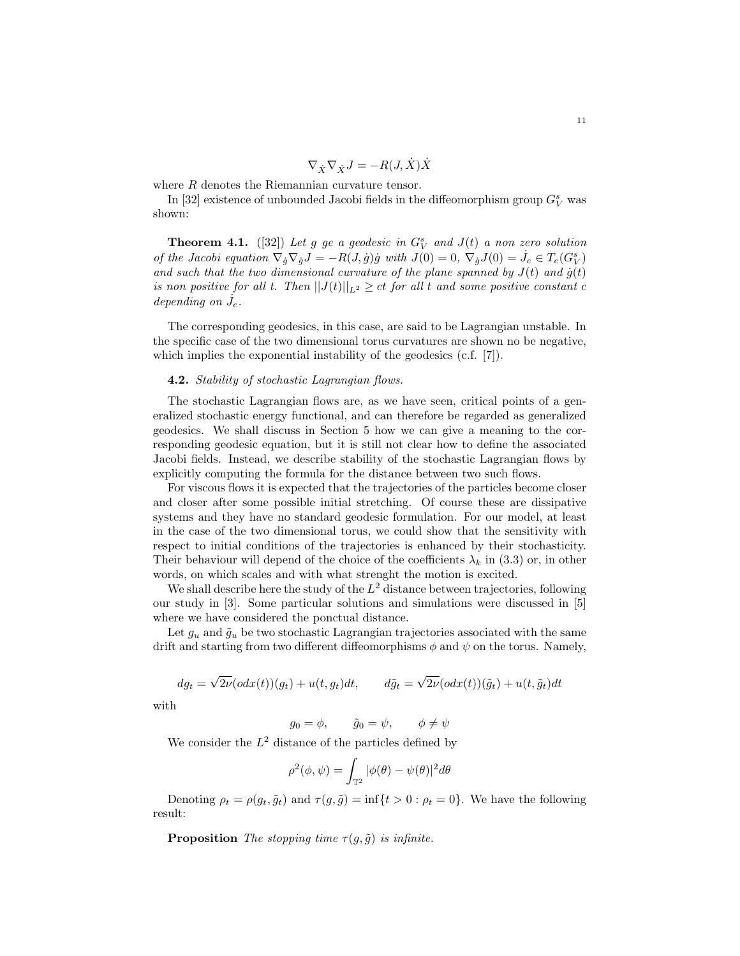$$
\nabla_{\dot X}\nabla_{\dot X}J=-R(J,\dot X)\dot X
$$

where R denotes the Riemannian curvature tensor.

In [32] existence of unbounded Jacobi fields in the diffeomorphism group  $G_V^s$  was shown:

**Theorem 4.1.** ([32]) Let g ge a geodesic in  $G_V^s$  and  $J(t)$  a non zero solution of the Jacobi equation  $\nabla_{\dot{g}} \nabla_{\dot{g}} J = -R(J, \dot{g}) \dot{g}$  with  $J(0) = 0$ ,  $\nabla_{\dot{g}} J(0) = \dot{J}_e \in T_e(G_V^s)$ and such that the two dimensional curvature of the plane spanned by  $J(t)$  and  $\dot{g}(t)$ is non positive for all t. Then  $||J(t)||_{L^2} \ge ct$  for all t and some positive constant c depending on  $\dot{J}_e$ .

The corresponding geodesics, in this case, are said to be Lagrangian unstable. In the specific case of the two dimensional torus curvatures are shown no be negative, which implies the exponential instability of the geodesics (c.f. [7]).

# 4.2. Stability of stochastic Lagrangian flows.

The stochastic Lagrangian flows are, as we have seen, critical points of a generalized stochastic energy functional, and can therefore be regarded as generalized geodesics. We shall discuss in Section 5 how we can give a meaning to the corresponding geodesic equation, but it is still not clear how to define the associated Jacobi fields. Instead, we describe stability of the stochastic Lagrangian flows by explicitly computing the formula for the distance between two such flows.

For viscous flows it is expected that the trajectories of the particles become closer and closer after some possible initial stretching. Of course these are dissipative systems and they have no standard geodesic formulation. For our model, at least in the case of the two dimensional torus, we could show that the sensitivity with respect to initial conditions of the trajectories is enhanced by their stochasticity. Their behaviour will depend of the choice of the coefficients  $\lambda_k$  in (3.3) or, in other words, on which scales and with what strenght the motion is excited.

We shall describe here the study of the  $L^2$  distance between trajectories, following our study in [3]. Some particular solutions and simulations were discussed in [5] where we have considered the ponctual distance.

Let  $g_u$  and  $\tilde{g}_u$  be two stochastic Lagrangian trajectories associated with the same drift and starting from two different diffeomorphisms  $\phi$  and  $\psi$  on the torus. Namely,

$$
dg_t = \sqrt{2\nu}(\text{od}x(t))(g_t) + u(t, g_t)dt, \qquad d\tilde{g}_t = \sqrt{2\nu}(\text{od}x(t))(\tilde{g}_t) + u(t, \tilde{g}_t)dt
$$

with

 $g_0 = \phi, \quad \tilde{g}_0 = \psi, \quad \phi \neq \psi$ 

We consider the  $L^2$  distance of the particles defined by

$$
\rho^2(\phi,\psi) = \int_{\mathbb{T}^2} |\phi(\theta) - \psi(\theta)|^2 d\theta
$$

Denoting  $\rho_t = \rho(q_t, \tilde{q}_t)$  and  $\tau(q, \tilde{q}) = \inf\{t > 0 : \rho_t = 0\}$ . We have the following result:

**Proposition** The stopping time  $\tau(q, \tilde{q})$  is infinite.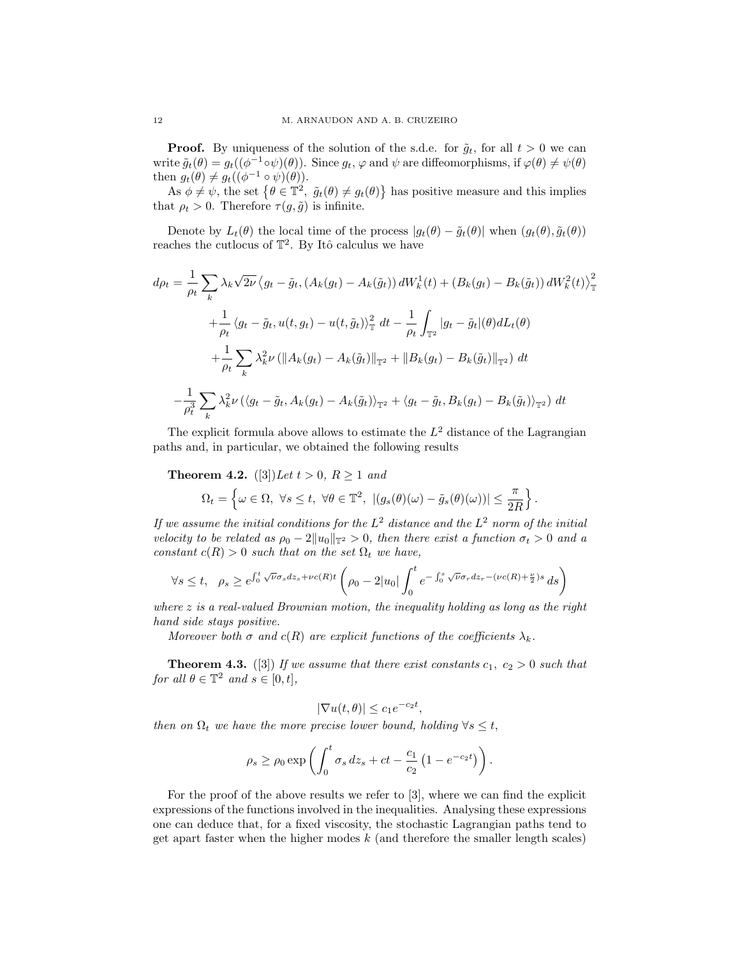**Proof.** By uniqueness of the solution of the s.d.e. for  $\tilde{g}_t$ , for all  $t > 0$  we can write  $\tilde{g}_t(\theta) = g_t((\phi^{-1} \circ \psi)(\theta))$ . Since  $g_t, \varphi$  and  $\psi$  are diffeomorphisms, if  $\varphi(\theta) \neq \psi(\theta)$ then  $g_t(\theta) \neq g_t((\phi^{-1} \circ \psi)(\theta)).$ 

As  $\phi \neq \psi$ , the set  $\{\theta \in \mathbb{T}^2, \ \tilde{g}_t(\theta) \neq g_t(\theta)\}\$  has positive measure and this implies that  $\rho_t > 0$ . Therefore  $\tau(g, \tilde{g})$  is infinite.

Denote by  $L_t(\theta)$  the local time of the process  $|g_t(\theta) - \tilde{g}_t(\theta)|$  when  $(g_t(\theta), \tilde{g}_t(\theta))$ reaches the cutlocus of  $\mathbb{T}^2$ . By Itô calculus we have

$$
d\rho_t = \frac{1}{\rho_t} \sum_k \lambda_k \sqrt{2\nu} \left\langle g_t - \tilde{g}_t, (A_k(g_t) - A_k(\tilde{g}_t)) dW_k^1(t) + (B_k(g_t) - B_k(\tilde{g}_t)) dW_k^2(t) \right\rangle_{\mathbb{T}}^2
$$
  
+ 
$$
\frac{1}{\rho_t} \left\langle g_t - \tilde{g}_t, u(t, g_t) - u(t, \tilde{g}_t) \right\rangle_{\mathbb{T}}^2 dt - \frac{1}{\rho_t} \int_{\mathbb{T}^2} |g_t - \tilde{g}_t|(\theta) dL_t(\theta)
$$
  
+ 
$$
\frac{1}{\rho_t} \sum_k \lambda_k^2 \nu \left( \|A_k(g_t) - A_k(\tilde{g}_t)\|_{\mathbb{T}^2} + \|B_k(g_t) - B_k(\tilde{g}_t)\|_{\mathbb{T}^2} \right) dt
$$
  
- 
$$
\frac{1}{\rho_t^3} \sum_k \lambda_k^2 \nu \left( \left\langle g_t - \tilde{g}_t, A_k(g_t) - A_k(\tilde{g}_t) \right\rangle_{\mathbb{T}^2} + \left\langle g_t - \tilde{g}_t, B_k(g_t) - B_k(\tilde{g}_t) \right\rangle_{\mathbb{T}^2} \right) dt
$$

The explicit formula above allows to estimate the  $L^2$  distance of the Lagrangian paths and, in particular, we obtained the following results

**Theorem 4.2.** ([3]) Let  $t > 0$ ,  $R \ge 1$  and

$$
\Omega_t = \left\{ \omega \in \Omega, \ \forall s \leq t, \ \forall \theta \in \mathbb{T}^2, \ |(g_s(\theta)(\omega) - \tilde{g}_s(\theta)(\omega))| \leq \frac{\pi}{2R} \right\}.
$$

If we assume the initial conditions for the  $L^2$  distance and the  $L^2$  norm of the initial velocity to be related as  $\rho_0 - 2||u_0||_{\mathbb{T}^2} > 0$ , then there exist a function  $\sigma_t > 0$  and a constant  $c(R) > 0$  such that on the set  $\Omega_t$  we have,

$$
\forall s \leq t, \quad \rho_s \geq e^{\int_0^t \sqrt{\nu} \sigma_s dz_s + \nu c(R)t} \left( \rho_0 - 2|u_0| \int_0^t e^{-\int_0^s \sqrt{\nu} \sigma_r dz_r - (\nu c(R) + \frac{\nu}{2})s} ds \right)
$$

where z is a real-valued Brownian motion, the inequality holding as long as the right hand side stays positive.

Moreover both  $\sigma$  and  $c(R)$  are explicit functions of the coefficients  $\lambda_k$ .

**Theorem 4.3.** ([3]) If we assume that there exist constants  $c_1, c_2 > 0$  such that for all  $\theta \in \mathbb{T}^2$  and  $s \in [0, t]$ ,

$$
|\nabla u(t,\theta)| \le c_1 e^{-c_2 t},
$$

then on  $\Omega_t$  we have the more precise lower bound, holding  $\forall s \leq t$ ,

$$
\rho_s \geq \rho_0 \exp\left(\int_0^t \sigma_s \, dz_s + ct - \frac{c_1}{c_2} \left(1 - e^{-c_2 t}\right)\right).
$$

For the proof of the above results we refer to [3], where we can find the explicit expressions of the functions involved in the inequalities. Analysing these expressions one can deduce that, for a fixed viscosity, the stochastic Lagrangian paths tend to get apart faster when the higher modes  $k$  (and therefore the smaller length scales)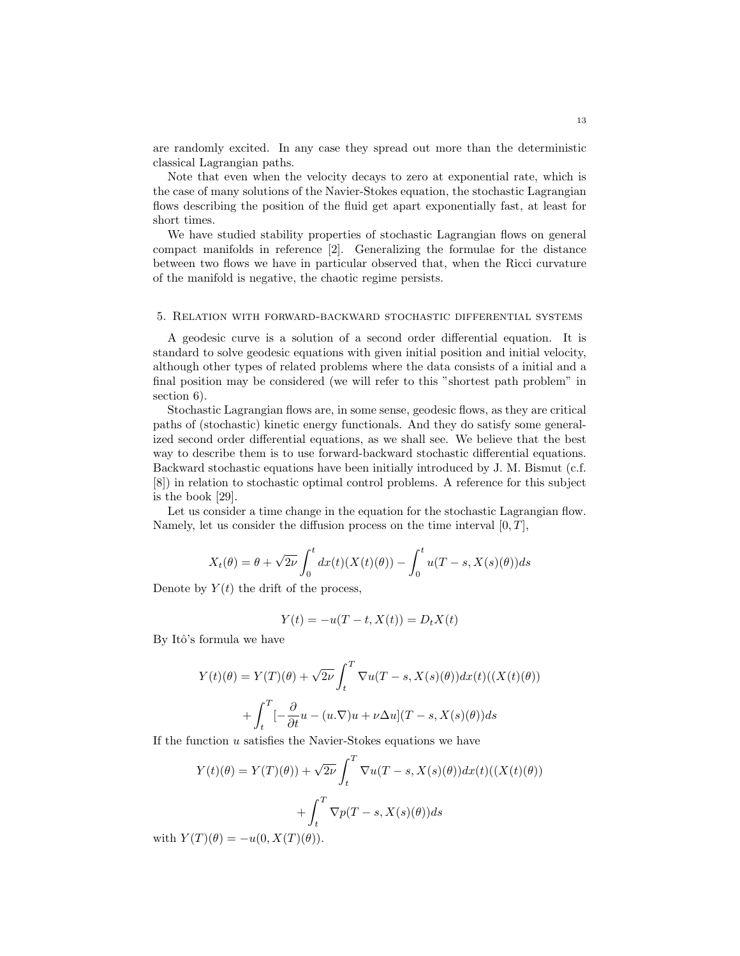are randomly excited. In any case they spread out more than the deterministic classical Lagrangian paths.

Note that even when the velocity decays to zero at exponential rate, which is the case of many solutions of the Navier-Stokes equation, the stochastic Lagrangian flows describing the position of the fluid get apart exponentially fast, at least for short times.

We have studied stability properties of stochastic Lagrangian flows on general compact manifolds in reference [2]. Generalizing the formulae for the distance between two flows we have in particular observed that, when the Ricci curvature of the manifold is negative, the chaotic regime persists.

# 5. Relation with forward-backward stochastic differential systems

A geodesic curve is a solution of a second order differential equation. It is standard to solve geodesic equations with given initial position and initial velocity, although other types of related problems where the data consists of a initial and a final position may be considered (we will refer to this "shortest path problem" in section 6).

Stochastic Lagrangian flows are, in some sense, geodesic flows, as they are critical paths of (stochastic) kinetic energy functionals. And they do satisfy some generalized second order differential equations, as we shall see. We believe that the best way to describe them is to use forward-backward stochastic differential equations. Backward stochastic equations have been initially introduced by J. M. Bismut (c.f. [8]) in relation to stochastic optimal control problems. A reference for this subject is the book [29].

Let us consider a time change in the equation for the stochastic Lagrangian flow. Namely, let us consider the diffusion process on the time interval  $[0, T]$ ,

$$
X_t(\theta) = \theta + \sqrt{2\nu} \int_0^t dx(t) (X(t)(\theta)) - \int_0^t u(T - s, X(s)(\theta)) ds
$$

Denote by  $Y(t)$  the drift of the process,

$$
Y(t) = -u(T - t, X(t)) = D_t X(t)
$$

By Itô's formula we have

$$
Y(t)(\theta) = Y(T)(\theta) + \sqrt{2\nu} \int_t^T \nabla u(T - s, X(s)(\theta)) dx(t)((X(t)(\theta)))
$$

$$
+ \int_t^T \left[ -\frac{\partial}{\partial t} u - (u.\nabla)u + \nu \Delta u \right](T - s, X(s)(\theta)) ds
$$

If the function u satisfies the Navier-Stokes equations we have

$$
Y(t)(\theta) = Y(T)(\theta) + \sqrt{2\nu} \int_t^T \nabla u(T - s, X(s)(\theta)) dx(t) ((X(t)(\theta)))
$$

$$
+ \int_t^T \nabla p(T - s, X(s)(\theta)) ds
$$

with  $Y(T)(\theta) = -u(0, X(T)(\theta)).$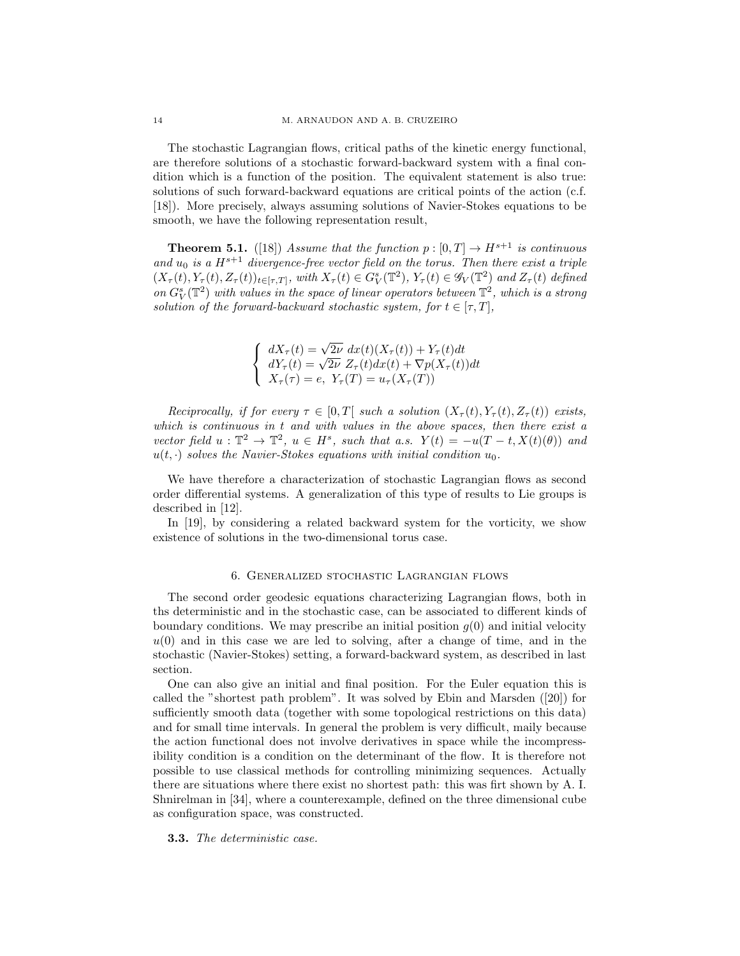The stochastic Lagrangian flows, critical paths of the kinetic energy functional, are therefore solutions of a stochastic forward-backward system with a final condition which is a function of the position. The equivalent statement is also true: solutions of such forward-backward equations are critical points of the action (c.f. [18]). More precisely, always assuming solutions of Navier-Stokes equations to be smooth, we have the following representation result,

**Theorem 5.1.** ([18]) Assume that the function  $p : [0, T] \to H^{s+1}$  is continuous and  $u_0$  is a  $H^{s+1}$  divergence-free vector field on the torus. Then there exist a triple  $(X_{\tau}(t), Y_{\tau}(t), Z_{\tau}(t))_{t \in [\tau, T]},$  with  $X_{\tau}(t) \in G_V^s(\mathbb{T}^2), Y_{\tau}(t) \in \mathscr{G}_V(\mathbb{T}^2)$  and  $Z_{\tau}(t)$  defined on  $G_V^s(\mathbb{T}^2)$  with values in the space of linear operators between  $\mathbb{T}^2$ , which is a strong solution of the forward-backward stochastic system, for  $t \in [\tau, T]$ ,

$$
\begin{cases}\n dX_{\tau}(t) = \sqrt{2\nu} dx(t)(X_{\tau}(t)) + Y_{\tau}(t)dt \\
dY_{\tau}(t) = \sqrt{2\nu} Z_{\tau}(t)dx(t) + \nabla p(X_{\tau}(t))dt \\
X_{\tau}(\tau) = e, \ Y_{\tau}(T) = u_{\tau}(X_{\tau}(T))\n\end{cases}
$$

Reciprocally, if for every  $\tau \in [0,T]$  such a solution  $(X_{\tau}(t), Y_{\tau}(t), Z_{\tau}(t))$  exists, which is continuous in t and with values in the above spaces, then there exist a vector field  $u: \mathbb{T}^2 \to \mathbb{T}^2$ ,  $u \in H^s$ , such that a.s.  $Y(t) = -u(T - t, X(t)(\theta))$  and  $u(t, \cdot)$  solves the Navier-Stokes equations with initial condition  $u_0$ .

We have therefore a characterization of stochastic Lagrangian flows as second order differential systems. A generalization of this type of results to Lie groups is described in [12].

In [19], by considering a related backward system for the vorticity, we show existence of solutions in the two-dimensional torus case.

# 6. Generalized stochastic Lagrangian flows

The second order geodesic equations characterizing Lagrangian flows, both in ths deterministic and in the stochastic case, can be associated to different kinds of boundary conditions. We may prescribe an initial position  $q(0)$  and initial velocity  $u(0)$  and in this case we are led to solving, after a change of time, and in the stochastic (Navier-Stokes) setting, a forward-backward system, as described in last section.

One can also give an initial and final position. For the Euler equation this is called the "shortest path problem". It was solved by Ebin and Marsden ([20]) for sufficiently smooth data (together with some topological restrictions on this data) and for small time intervals. In general the problem is very difficult, maily because the action functional does not involve derivatives in space while the incompressibility condition is a condition on the determinant of the flow. It is therefore not possible to use classical methods for controlling minimizing sequences. Actually there are situations where there exist no shortest path: this was firt shown by A. I. Shnirelman in [34], where a counterexample, defined on the three dimensional cube as configuration space, was constructed.

3.3. The deterministic case.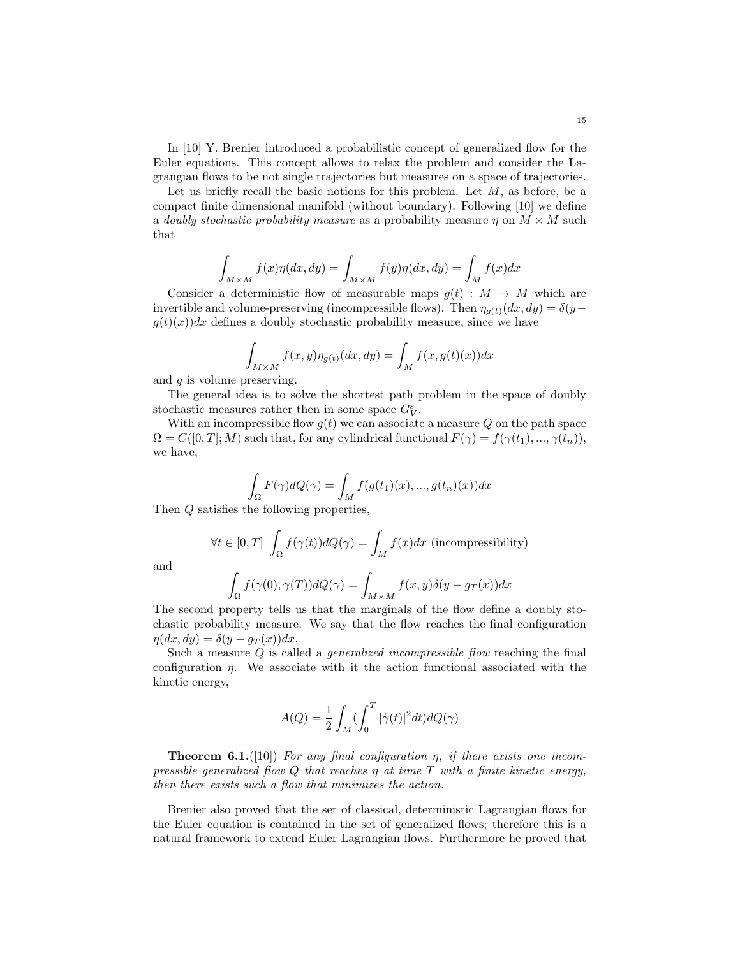In [10] Y. Brenier introduced a probabilistic concept of generalized flow for the Euler equations. This concept allows to relax the problem and consider the Lagrangian flows to be not single trajectories but measures on a space of trajectories.

Let us briefly recall the basic notions for this problem. Let  $M$ , as before, be a compact finite dimensional manifold (without boundary). Following [10] we define a doubly stochastic probability measure as a probability measure  $\eta$  on  $M \times M$  such that

$$
\int_{M \times M} f(x) \eta(dx, dy) = \int_{M \times M} f(y) \eta(dx, dy) = \int_{M} f(x) dx
$$

Consider a deterministic flow of measurable maps  $g(t): M \to M$  which are invertible and volume-preserving (incompressible flows). Then  $\eta_{g(t)}(dx, dy) = \delta(y - dy)$  $g(t)(x)dx$  defines a doubly stochastic probability measure, since we have

$$
\int_{M \times M} f(x, y) \eta_{g(t)}(dx, dy) = \int_M f(x, g(t)(x)) dx
$$

and  $q$  is volume preserving.

The general idea is to solve the shortest path problem in the space of doubly stochastic measures rather then in some space  $G_V^s$ .

With an incompressible flow  $g(t)$  we can associate a measure Q on the path space  $\Omega = C([0, T]; M)$  such that, for any cylindrical functional  $F(\gamma) = f(\gamma(t_1), ..., \gamma(t_n)),$ we have,

$$
\int_{\Omega} F(\gamma)dQ(\gamma) = \int_{M} f(g(t_1)(x), ..., g(t_n)(x))dx
$$

Then Q satisfies the following properties,

$$
\forall t \in [0, T] \int_{\Omega} f(\gamma(t)) dQ(\gamma) = \int_{M} f(x) dx \text{ (incompressibility)}
$$

and

$$
\int_{\Omega} f(\gamma(0), \gamma(T)) dQ(\gamma) = \int_{M \times M} f(x, y) \delta(y - g_T(x)) dx
$$

The second property tells us that the marginals of the flow define a doubly stochastic probability measure. We say that the flow reaches the final configuration  $\eta(dx, dy) = \delta(y - g_T(x))dx.$ 

Such a measure  $Q$  is called a *generalized incompressible flow* reaching the final configuration  $\eta$ . We associate with it the action functional associated with the kinetic energy,

$$
A(Q) = \frac{1}{2} \int_M \left(\int_0^T |\dot{\gamma}(t)|^2 dt\right) dQ(\gamma)
$$

**Theorem 6.1.**([10]) For any final configuration  $\eta$ , if there exists one incompressible generalized flow Q that reaches  $\eta$  at time T with a finite kinetic energy, then there exists such a flow that minimizes the action.

Brenier also proved that the set of classical, deterministic Lagrangian flows for the Euler equation is contained in the set of generalized flows; therefore this is a natural framework to extend Euler Lagrangian flows. Furthermore he proved that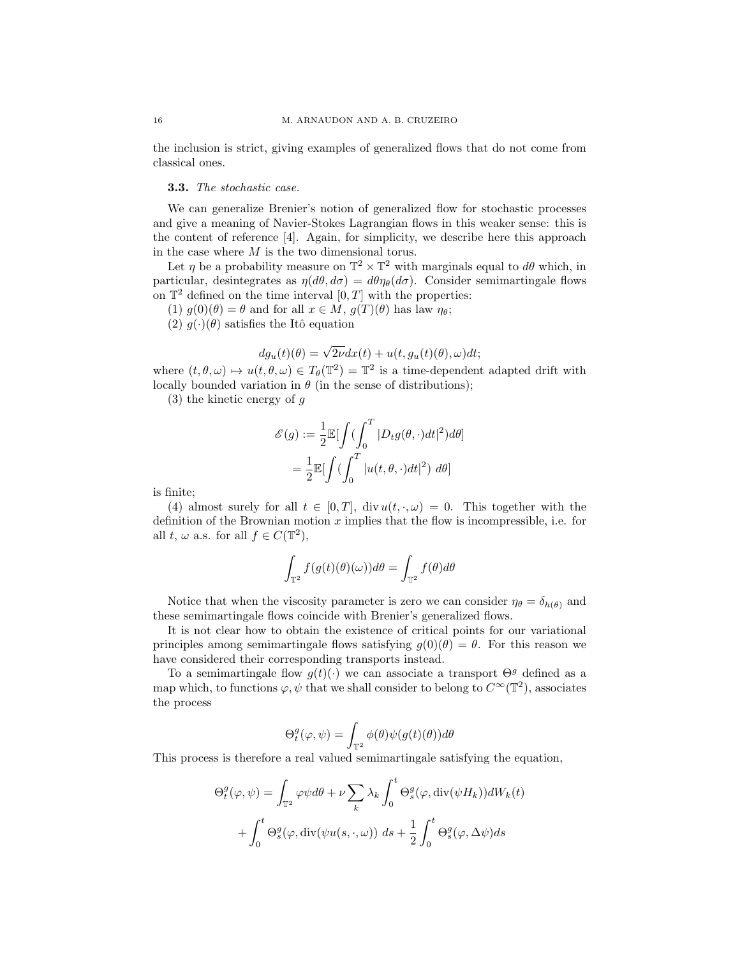the inclusion is strict, giving examples of generalized flows that do not come from classical ones.

### 3.3. The stochastic case.

We can generalize Brenier's notion of generalized flow for stochastic processes and give a meaning of Navier-Stokes Lagrangian flows in this weaker sense: this is the content of reference [4]. Again, for simplicity, we describe here this approach in the case where  $M$  is the two dimensional torus.

Let  $\eta$  be a probability measure on  $\mathbb{T}^2 \times \mathbb{T}^2$  with marginals equal to  $d\theta$  which, in particular, desintegrates as  $\eta(d\theta, d\sigma) = d\theta \eta_{\theta}(d\sigma)$ . Consider semimartingale flows on  $\mathbb{T}^2$  defined on the time interval  $[0, T]$  with the properties:

(1)  $g(0)(\theta) = \theta$  and for all  $x \in M$ ,  $g(T)(\theta)$  has law  $\eta_{\theta}$ ;

(2)  $q(\cdot)(\theta)$  satisfies the Itô equation

$$
dg_u(t)(\theta) = \sqrt{2\nu}dx(t) + u(t, g_u(t)(\theta), \omega)dt;
$$

where  $(t, \theta, \omega) \mapsto u(t, \theta, \omega) \in T_{\theta}(\mathbb{T}^2) = \mathbb{T}^2$  is a time-dependent adapted drift with locally bounded variation in  $\theta$  (in the sense of distributions);

 $(3)$  the kinetic energy of g

$$
\mathcal{E}(g) := \frac{1}{2} \mathbb{E} \left[ \int \left( \int_0^T |D_t g(\theta, \cdot) dt|^2 \right) d\theta \right]
$$

$$
= \frac{1}{2} \mathbb{E} \left[ \int \left( \int_0^T |u(t, \theta, \cdot) dt|^2 \right) d\theta \right]
$$

is finite;

(4) almost surely for all  $t \in [0, T]$ , div  $u(t, \cdot, \omega) = 0$ . This together with the definition of the Brownian motion  $x$  implies that the flow is incompressible, i.e. for all  $t, \omega$  a.s. for all  $f \in C(\mathbb{T}^2)$ ,

$$
\int_{\mathbb{T}^2} f(g(t)(\theta)(\omega))d\theta = \int_{\mathbb{T}^2} f(\theta)d\theta
$$

Notice that when the viscosity parameter is zero we can consider  $\eta_{\theta} = \delta_{h(\theta)}$  and these semimartingale flows coincide with Brenier's generalized flows.

It is not clear how to obtain the existence of critical points for our variational principles among semimartingale flows satisfying  $g(0)(\theta) = \theta$ . For this reason we have considered their corresponding transports instead.

To a semimartingale flow  $g(t)(.)$  we can associate a transport  $\Theta^g$  defined as a map which, to functions  $\varphi, \psi$  that we shall consider to belong to  $C^{\infty}(\mathbb{T}^2)$ , associates the process

$$
\Theta^g_t(\varphi,\psi)=\int_{\mathbb{T}^2}\phi(\theta)\psi(g(t)(\theta))d\theta
$$

This process is therefore a real valued semimartingale satisfying the equation,

$$
\Theta_t^g(\varphi, \psi) = \int_{\mathbb{T}^2} \varphi \psi d\theta + \nu \sum_k \lambda_k \int_0^t \Theta_s^g(\varphi, \text{div}(\psi H_k)) dW_k(t)
$$

$$
+ \int_0^t \Theta_s^g(\varphi, \text{div}(\psi u(s, \cdot, \omega)) ds + \frac{1}{2} \int_0^t \Theta_s^g(\varphi, \Delta \psi) ds
$$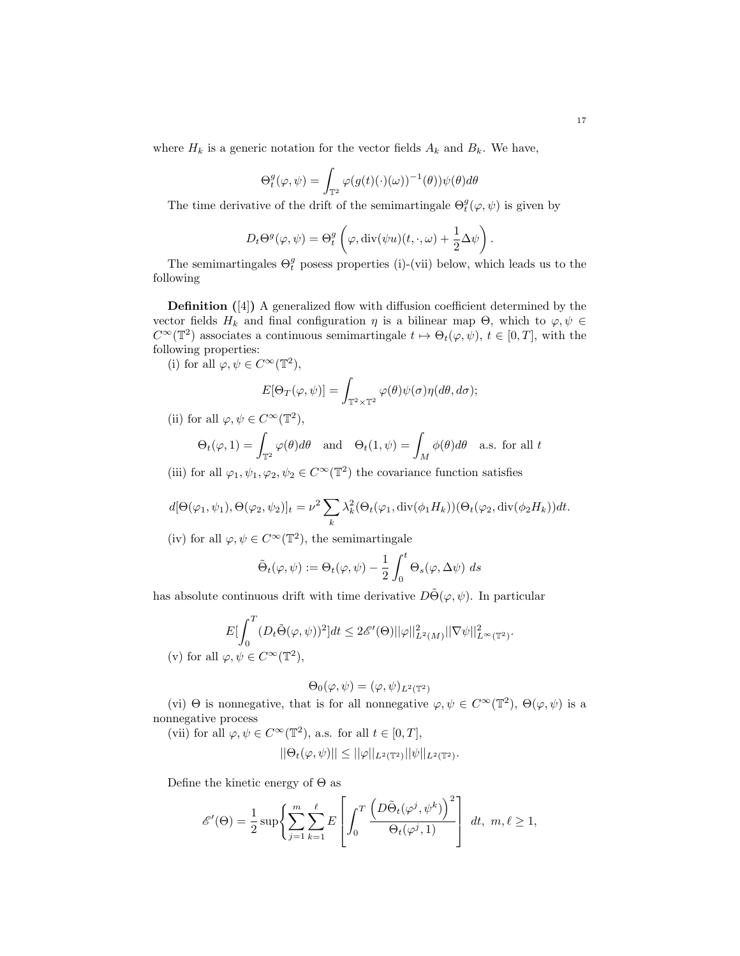where  $H_k$  is a generic notation for the vector fields  $A_k$  and  $B_k$ . We have,

$$
\Theta_t^g(\varphi, \psi) = \int_{\mathbb{T}^2} \varphi(g(t)(\cdot)(\omega))^{-1}(\theta) \psi(\theta) d\theta
$$

The time derivative of the drift of the semimartingale  $\Theta_t^g(\varphi, \psi)$  is given by

$$
D_t \Theta^g(\varphi, \psi) = \Theta_t^g \left( \varphi, \text{div}(\psi u)(t, \cdot, \omega) + \frac{1}{2} \Delta \psi \right).
$$

The semimartingales  $\Theta_t^g$  posess properties (i)-(vii) below, which leads us to the following

Definition ([4]) A generalized flow with diffusion coefficient determined by the vector fields  $H_k$  and final configuration  $\eta$  is a bilinear map  $\Theta$ , which to  $\varphi, \psi \in$  $C^{\infty}(\mathbb{T}^2)$  associates a continuous semimartingale  $t \mapsto \Theta_t(\varphi, \psi)$ ,  $t \in [0, T]$ , with the following properties:

(i) for all  $\varphi, \psi \in C^{\infty}(\mathbb{T}^2)$ ,

$$
E[\Theta_T(\varphi,\psi)] = \int_{\mathbb{T}^2\times\mathbb{T}^2} \varphi(\theta)\psi(\sigma)\eta(d\theta,d\sigma);
$$

(ii) for all  $\varphi, \psi \in C^{\infty}(\mathbb{T}^2)$ ,

$$
\Theta_t(\varphi, 1) = \int_{\mathbb{T}^2} \varphi(\theta) d\theta \quad \text{and} \quad \Theta_t(1, \psi) = \int_M \phi(\theta) d\theta \quad \text{a.s. for all } t
$$

(iii) for all  $\varphi_1, \psi_1, \varphi_2, \psi_2 \in C^{\infty}(\mathbb{T}^2)$  the covariance function satisfies

$$
d[\Theta(\varphi_1, \psi_1), \Theta(\varphi_2, \psi_2)]_t = \nu^2 \sum_k \lambda_k^2 (\Theta_t(\varphi_1, \text{div}(\phi_1 H_k))(\Theta_t(\varphi_2, \text{div}(\phi_2 H_k))dt).
$$

(iv) for all  $\varphi, \psi \in C^{\infty}(\mathbb{T}^2)$ , the semimartingale

$$
\tilde{\Theta}_t(\varphi, \psi) := \Theta_t(\varphi, \psi) - \frac{1}{2} \int_0^t \Theta_s(\varphi, \Delta \psi) ds
$$

has absolute continuous drift with time derivative  $D\tilde{\Theta}(\varphi, \psi)$ . In particular

$$
E[\int_0^T (D_t \tilde{\Theta}(\varphi, \psi))^2] dt \leq 2\mathscr{E}'(\Theta) ||\varphi||^2_{L^2(M)} ||\nabla \psi||^2_{L^{\infty}(\mathbb{T}^2)}.
$$
  
(v) for all  $\varphi, \psi \in C^{\infty}(\mathbb{T}^2)$ ,

$$
\Theta_0(\varphi, \psi) = (\varphi, \psi)_{L^2(\mathbb{T}^2)}
$$

(vi)  $\Theta$  is nonnegative, that is for all nonnegative  $\varphi, \psi \in C^{\infty}(\mathbb{T}^2)$ ,  $\Theta(\varphi, \psi)$  is a nonnegative process

(vii) for all  $\varphi, \psi \in C^{\infty}(\mathbb{T}^2)$ , a.s. for all  $t \in [0, T]$ ,

$$
||\Theta_t(\varphi,\psi)|| \leq ||\varphi||_{L^2(\mathbb{T}^2)} ||\psi||_{L^2(\mathbb{T}^2)}.
$$

Define the kinetic energy of  $\Theta$  as

$$
\mathscr{E}'(\Theta) = \frac{1}{2} \sup \left\{ \sum_{j=1}^{m} \sum_{k=1}^{\ell} E \left[ \int_0^T \frac{\left( D \tilde{\Theta}_t(\varphi^j, \psi^k) \right)^2}{\Theta_t(\varphi^j, 1)} \right] dt, m, \ell \ge 1, \right\}
$$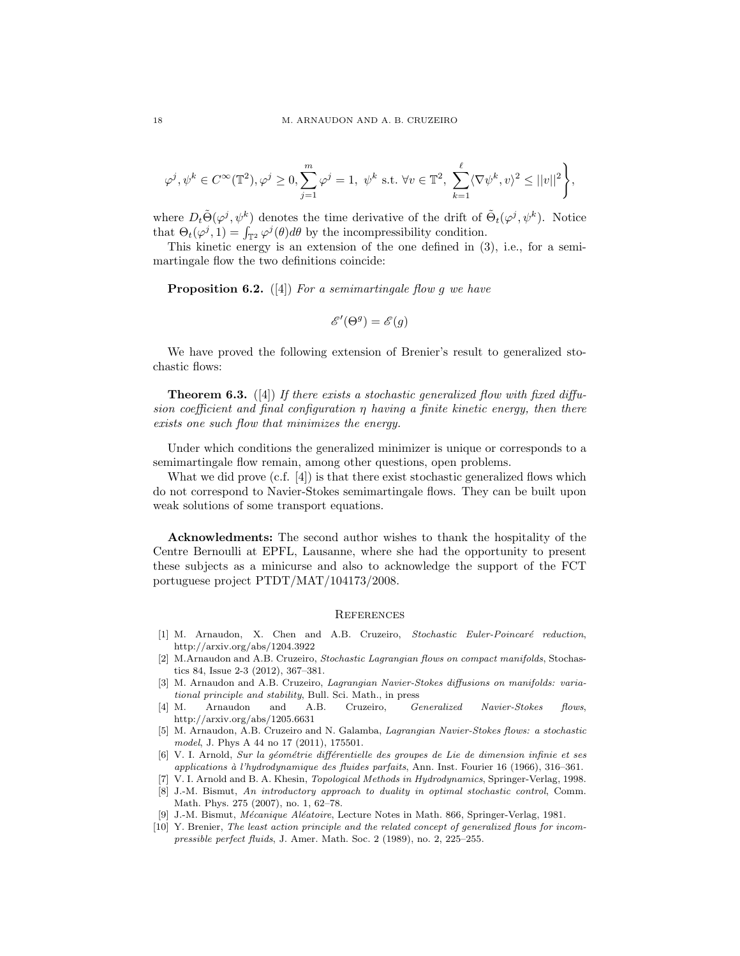$$
\varphi^j, \psi^k \in C^{\infty}(\mathbb{T}^2), \varphi^j \ge 0, \sum_{j=1}^m \varphi^j = 1, \ \psi^k \text{ s.t. } \forall v \in \mathbb{T}^2, \ \sum_{k=1}^{\ell} \langle \nabla \psi^k, v \rangle^2 \le ||v||^2 \Bigg\},\
$$

where  $D_t \tilde{\Theta}(\varphi^j, \psi^k)$  denotes the time derivative of the drift of  $\tilde{\Theta}_t(\varphi^j, \psi^k)$ . Notice that  $\Theta_t(\varphi^j, 1) = \int_{\mathbb{T}^2} \varphi^j(\theta) d\theta$  by the incompressibility condition.

This kinetic energy is an extension of the one defined in (3), i.e., for a semimartingale flow the two definitions coincide:

**Proposition 6.2.** ([4]) For a semimartingale flow g we have

$$
\mathscr{E}'(\Theta^g) = \mathscr{E}(g)
$$

We have proved the following extension of Brenier's result to generalized stochastic flows:

**Theorem 6.3.** ([4]) If there exists a stochastic generalized flow with fixed diffusion coefficient and final configuration  $\eta$  having a finite kinetic energy, then there exists one such flow that minimizes the energy.

Under which conditions the generalized minimizer is unique or corresponds to a semimartingale flow remain, among other questions, open problems.

What we did prove (c.f. [4]) is that there exist stochastic generalized flows which do not correspond to Navier-Stokes semimartingale flows. They can be built upon weak solutions of some transport equations.

Acknowledments: The second author wishes to thank the hospitality of the Centre Bernoulli at EPFL, Lausanne, where she had the opportunity to present these subjects as a minicurse and also to acknowledge the support of the FCT portuguese project PTDT/MAT/104173/2008.

### **REFERENCES**

- [1] M. Arnaudon, X. Chen and A.B. Cruzeiro, Stochastic Euler-Poincaré reduction, http://arxiv.org/abs/1204.3922
- [2] M.Arnaudon and A.B. Cruzeiro, Stochastic Lagrangian flows on compact manifolds, Stochastics 84, Issue 2-3 (2012), 367–381.
- [3] M. Arnaudon and A.B. Cruzeiro, Lagrangian Navier-Stokes diffusions on manifolds: variational principle and stability, Bull. Sci. Math., in press
- [4] M. Arnaudon and A.B. Cruzeiro, Generalized Navier-Stokes flows, http://arxiv.org/abs/1205.6631
- [5] M. Arnaudon, A.B. Cruzeiro and N. Galamba, Lagrangian Navier-Stokes flows: a stochastic model, J. Phys A 44 no 17 (2011), 175501.
- [6] V. I. Arnold, Sur la géométrie différentielle des groupes de Lie de dimension infinie et ses applications à l'hydrodynamique des fluides parfaits, Ann. Inst. Fourier 16 (1966), 316–361.
- [7] V. I. Arnold and B. A. Khesin, Topological Methods in Hydrodynamics, Springer-Verlag, 1998.
- [8] J.-M. Bismut, An introductory approach to duality in optimal stochastic control, Comm. Math. Phys. 275 (2007), no. 1, 62–78.
- J.-M. Bismut, Mécanique Aléatoire, Lecture Notes in Math. 866, Springer-Verlag, 1981.
- [10] Y. Brenier, The least action principle and the related concept of generalized flows for incompressible perfect fluids, J. Amer. Math. Soc. 2 (1989), no. 2, 225–255.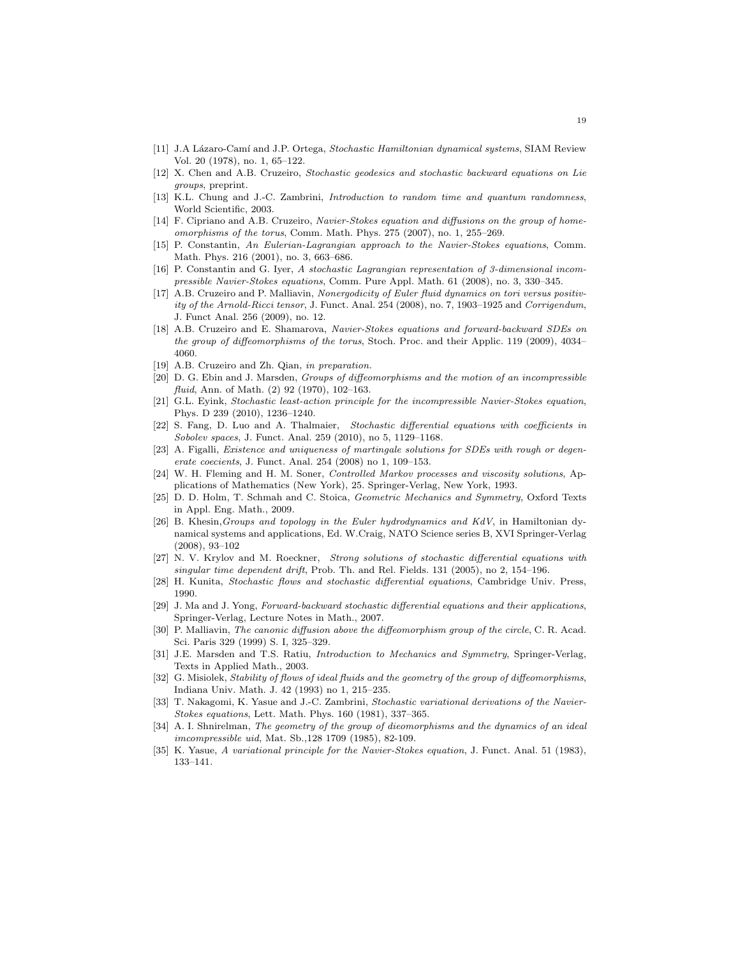- [11] J.A Lázaro-Camí and J.P. Ortega, Stochastic Hamiltonian dynamical systems, SIAM Review Vol. 20 (1978), no. 1, 65–122.
- [12] X. Chen and A.B. Cruzeiro, Stochastic geodesics and stochastic backward equations on Lie groups, preprint.
- [13] K.L. Chung and J.-C. Zambrini, *Introduction to random time and quantum randomness*, World Scientific, 2003.
- [14] F. Cipriano and A.B. Cruzeiro, Navier-Stokes equation and diffusions on the group of homeomorphisms of the torus, Comm. Math. Phys. 275 (2007), no. 1, 255–269.
- [15] P. Constantin, An Eulerian-Lagrangian approach to the Navier-Stokes equations, Comm. Math. Phys. 216 (2001), no. 3, 663–686.
- [16] P. Constantin and G. Iyer, A stochastic Lagrangian representation of 3-dimensional incompressible Navier-Stokes equations, Comm. Pure Appl. Math. 61 (2008), no. 3, 330–345.
- [17] A.B. Cruzeiro and P. Malliavin, Nonergodicity of Euler fluid dynamics on tori versus positivity of the Arnold-Ricci tensor, J. Funct. Anal. 254 (2008), no. 7, 1903–1925 and Corrigendum, J. Funct Anal. 256 (2009), no. 12.
- [18] A.B. Cruzeiro and E. Shamarova, Navier-Stokes equations and forward-backward SDEs on the group of diffeomorphisms of the torus, Stoch. Proc. and their Applic. 119 (2009), 4034– 4060.
- [19] A.B. Cruzeiro and Zh. Qian, in preparation.
- [20] D. G. Ebin and J. Marsden, Groups of diffeomorphisms and the motion of an incompressible fluid, Ann. of Math. (2) 92 (1970), 102-163.
- [21] G.L. Eyink, Stochastic least-action principle for the incompressible Navier-Stokes equation, Phys. D 239 (2010), 1236–1240.
- [22] S. Fang, D. Luo and A. Thalmaier, Stochastic differential equations with coefficients in Sobolev spaces, J. Funct. Anal. 259 (2010), no 5, 1129–1168.
- [23] A. Figalli, Existence and uniqueness of martingale solutions for SDEs with rough or degenerate coecients, J. Funct. Anal. 254 (2008) no 1, 109–153.
- [24] W. H. Fleming and H. M. Soner, Controlled Markov processes and viscosity solutions, Applications of Mathematics (New York), 25. Springer-Verlag, New York, 1993.
- [25] D. D. Holm, T. Schmah and C. Stoica, Geometric Mechanics and Symmetry, Oxford Texts in Appl. Eng. Math., 2009.
- [26] B. Khesin,Groups and topology in the Euler hydrodynamics and KdV, in Hamiltonian dynamical systems and applications, Ed. W.Craig, NATO Science series B, XVI Springer-Verlag (2008), 93–102
- [27] N. V. Krylov and M. Roeckner, Strong solutions of stochastic differential equations with singular time dependent drift, Prob. Th. and Rel. Fields. 131 (2005), no 2, 154–196.
- [28] H. Kunita, Stochastic flows and stochastic differential equations, Cambridge Univ. Press, 1990.
- [29] J. Ma and J. Yong, Forward-backward stochastic differential equations and their applications, Springer-Verlag, Lecture Notes in Math., 2007.
- [30] P. Malliavin, The canonic diffusion above the diffeomorphism group of the circle, C. R. Acad. Sci. Paris 329 (1999) S. I, 325–329.
- [31] J.E. Marsden and T.S. Ratiu, Introduction to Mechanics and Symmetry, Springer-Verlag, Texts in Applied Math., 2003.
- [32] G. Misiolek, Stability of flows of ideal fluids and the geometry of the group of diffeomorphisms, Indiana Univ. Math. J. 42 (1993) no 1, 215–235.
- [33] T. Nakagomi, K. Yasue and J.-C. Zambrini, Stochastic variational derivations of the Navier-Stokes equations, Lett. Math. Phys. 160 (1981), 337–365.
- [34] A. I. Shnirelman, The geometry of the group of dieomorphisms and the dynamics of an ideal imcompressible uid, Mat. Sb.,128 1709 (1985), 82-109.
- [35] K. Yasue, A variational principle for the Navier-Stokes equation, J. Funct. Anal. 51 (1983), 133–141.